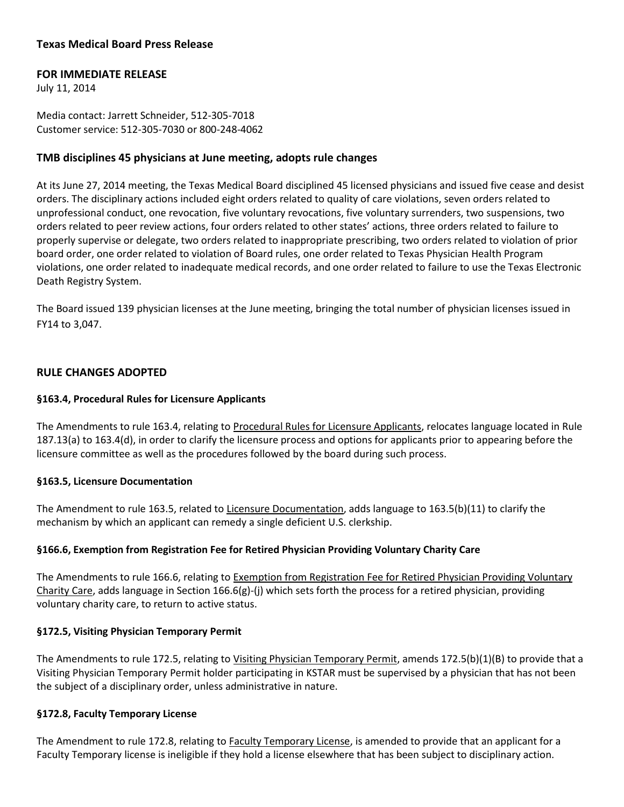# **Texas Medical Board Press Release**

# **FOR IMMEDIATE RELEASE**

July 11, 2014

Media contact: Jarrett Schneider, 512-305-7018 Customer service: 512-305-7030 or 800-248-4062

# **TMB disciplines 45 physicians at June meeting, adopts rule changes**

At its June 27, 2014 meeting, the Texas Medical Board disciplined 45 licensed physicians and issued five cease and desist orders. The disciplinary actions included eight orders related to quality of care violations, seven orders related to unprofessional conduct, one revocation, five voluntary revocations, five voluntary surrenders, two suspensions, two orders related to peer review actions, four orders related to other states' actions, three orders related to failure to properly supervise or delegate, two orders related to inappropriate prescribing, two orders related to violation of prior board order, one order related to violation of Board rules, one order related to Texas Physician Health Program violations, one order related to inadequate medical records, and one order related to failure to use the Texas Electronic Death Registry System.

The Board issued 139 physician licenses at the June meeting, bringing the total number of physician licenses issued in FY14 to 3,047.

# **RULE CHANGES ADOPTED**

# **§163.4, Procedural Rules for Licensure Applicants**

The Amendments to rule 163.4, relating to Procedural Rules for Licensure Applicants, relocates language located in Rule 187.13(a) to 163.4(d), in order to clarify the licensure process and options for applicants prior to appearing before the licensure committee as well as the procedures followed by the board during such process.

## **§163.5, Licensure Documentation**

The Amendment to rule 163.5, related to Licensure Documentation, adds language to 163.5(b)(11) to clarify the mechanism by which an applicant can remedy a single deficient U.S. clerkship.

## **§166.6, Exemption from Registration Fee for Retired Physician Providing Voluntary Charity Care**

The Amendments to rule 166.6, relating to Exemption from Registration Fee for Retired Physician Providing Voluntary Charity Care, adds language in Section 166.6(g)-(j) which sets forth the process for a retired physician, providing voluntary charity care, to return to active status.

## **§172.5, Visiting Physician Temporary Permit**

The Amendments to rule 172.5, relating to Visiting Physician Temporary Permit, amends 172.5(b)(1)(B) to provide that a Visiting Physician Temporary Permit holder participating in KSTAR must be supervised by a physician that has not been the subject of a disciplinary order, unless administrative in nature.

## **§172.8, Faculty Temporary License**

The Amendment to rule 172.8, relating to Faculty Temporary License, is amended to provide that an applicant for a Faculty Temporary license is ineligible if they hold a license elsewhere that has been subject to disciplinary action.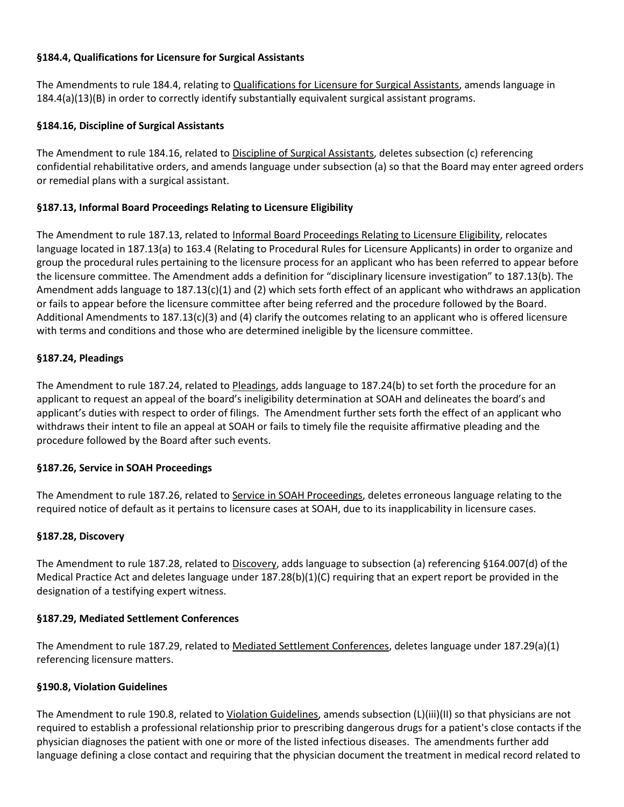# **§184.4, Qualifications for Licensure for Surgical Assistants**

The Amendments to rule 184.4, relating to Qualifications for Licensure for Surgical Assistants, amends language in 184.4(a)(13)(B) in order to correctly identify substantially equivalent surgical assistant programs.

# **§184.16, Discipline of Surgical Assistants**

The Amendment to rule 184.16, related to Discipline of Surgical Assistants, deletes subsection (c) referencing confidential rehabilitative orders, and amends language under subsection (a) so that the Board may enter agreed orders or remedial plans with a surgical assistant.

# **§187.13, Informal Board Proceedings Relating to Licensure Eligibility**

The Amendment to rule 187.13, related to Informal Board Proceedings Relating to Licensure Eligibility, relocates language located in 187.13(a) to 163.4 (Relating to Procedural Rules for Licensure Applicants) in order to organize and group the procedural rules pertaining to the licensure process for an applicant who has been referred to appear before the licensure committee. The Amendment adds a definition for "disciplinary licensure investigation" to 187.13(b). The Amendment adds language to 187.13(c)(1) and (2) which sets forth effect of an applicant who withdraws an application or fails to appear before the licensure committee after being referred and the procedure followed by the Board. Additional Amendments to 187.13(c)(3) and (4) clarify the outcomes relating to an applicant who is offered licensure with terms and conditions and those who are determined ineligible by the licensure committee.

# **§187.24, Pleadings**

The Amendment to rule 187.24, related to Pleadings, adds language to 187.24(b) to set forth the procedure for an applicant to request an appeal of the board's ineligibility determination at SOAH and delineates the board's and applicant's duties with respect to order of filings. The Amendment further sets forth the effect of an applicant who withdraws their intent to file an appeal at SOAH or fails to timely file the requisite affirmative pleading and the procedure followed by the Board after such events.

## **§187.26, Service in SOAH Proceedings**

The Amendment to rule 187.26, related to Service in SOAH Proceedings, deletes erroneous language relating to the required notice of default as it pertains to licensure cases at SOAH, due to its inapplicability in licensure cases.

## **§187.28, Discovery**

The Amendment to rule 187.28, related to Discovery, adds language to subsection (a) referencing §164.007(d) of the Medical Practice Act and deletes language under 187.28(b)(1)(C) requiring that an expert report be provided in the designation of a testifying expert witness.

## **§187.29, Mediated Settlement Conferences**

The Amendment to rule 187.29, related to Mediated Settlement Conferences, deletes language under 187.29(a)(1) referencing licensure matters.

## **§190.8, Violation Guidelines**

The Amendment to rule 190.8, related to Violation Guidelines, amends subsection (L)(iii)(II) so that physicians are not required to establish a professional relationship prior to prescribing dangerous drugs for a patient's close contacts if the physician diagnoses the patient with one or more of the listed infectious diseases. The amendments further add language defining a close contact and requiring that the physician document the treatment in medical record related to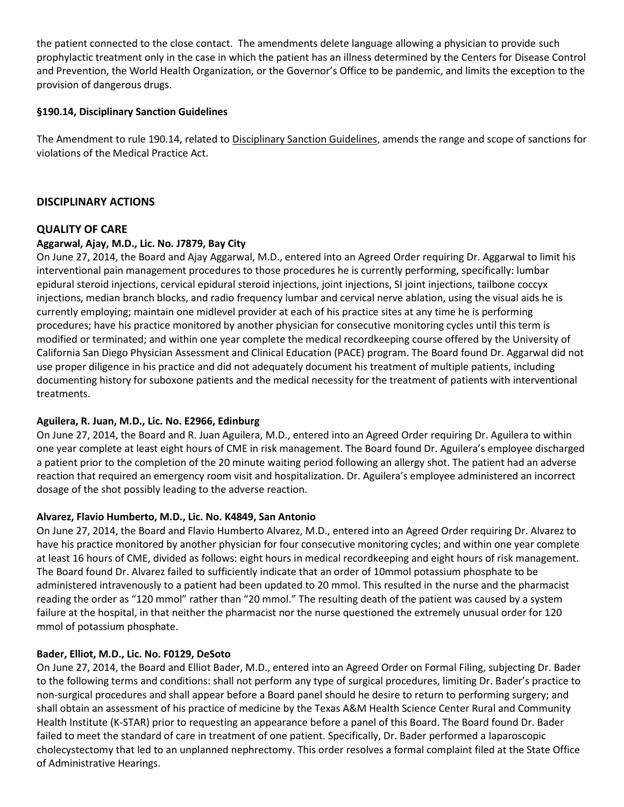the patient connected to the close contact. The amendments delete language allowing a physician to provide such prophylactic treatment only in the case in which the patient has an illness determined by the Centers for Disease Control and Prevention, the World Health Organization, or the Governor's Office to be pandemic, and limits the exception to the provision of dangerous drugs.

# **§190.14, Disciplinary Sanction Guidelines**

The Amendment to rule 190.14, related to Disciplinary Sanction Guidelines, amends the range and scope of sanctions for violations of the Medical Practice Act.

# **DISCIPLINARY ACTIONS**

# **QUALITY OF CARE**

## **Aggarwal, Ajay, M.D., Lic. No. J7879, Bay City**

On June 27, 2014, the Board and Ajay Aggarwal, M.D., entered into an Agreed Order requiring Dr. Aggarwal to limit his interventional pain management procedures to those procedures he is currently performing, specifically: lumbar epidural steroid injections, cervical epidural steroid injections, joint injections, SI joint injections, tailbone coccyx injections, median branch blocks, and radio frequency lumbar and cervical nerve ablation, using the visual aids he is currently employing; maintain one midlevel provider at each of his practice sites at any time he is performing procedures; have his practice monitored by another physician for consecutive monitoring cycles until this term is modified or terminated; and within one year complete the medical recordkeeping course offered by the University of California San Diego Physician Assessment and Clinical Education (PACE) program. The Board found Dr. Aggarwal did not use proper diligence in his practice and did not adequately document his treatment of multiple patients, including documenting history for suboxone patients and the medical necessity for the treatment of patients with interventional treatments.

## **Aguilera, R. Juan, M.D., Lic. No. E2966, Edinburg**

On June 27, 2014, the Board and R. Juan Aguilera, M.D., entered into an Agreed Order requiring Dr. Aguilera to within one year complete at least eight hours of CME in risk management. The Board found Dr. Aguilera's employee discharged a patient prior to the completion of the 20 minute waiting period following an allergy shot. The patient had an adverse reaction that required an emergency room visit and hospitalization. Dr. Aguilera's employee administered an incorrect dosage of the shot possibly leading to the adverse reaction.

# **Alvarez, Flavio Humberto, M.D., Lic. No. K4849, San Antonio**

On June 27, 2014, the Board and Flavio Humberto Alvarez, M.D., entered into an Agreed Order requiring Dr. Alvarez to have his practice monitored by another physician for four consecutive monitoring cycles; and within one year complete at least 16 hours of CME, divided as follows: eight hours in medical recordkeeping and eight hours of risk management. The Board found Dr. Alvarez failed to sufficiently indicate that an order of 10mmol potassium phosphate to be administered intravenously to a patient had been updated to 20 mmol. This resulted in the nurse and the pharmacist reading the order as "120 mmol" rather than "20 mmol." The resulting death of the patient was caused by a system failure at the hospital, in that neither the pharmacist nor the nurse questioned the extremely unusual order for 120 mmol of potassium phosphate.

## **Bader, Elliot, M.D., Lic. No. F0129, DeSoto**

On June 27, 2014, the Board and Elliot Bader, M.D., entered into an Agreed Order on Formal Filing, subjecting Dr. Bader to the following terms and conditions: shall not perform any type of surgical procedures, limiting Dr. Bader's practice to non-surgical procedures and shall appear before a Board panel should he desire to return to performing surgery; and shall obtain an assessment of his practice of medicine by the Texas A&M Health Science Center Rural and Community Health Institute (K-STAR) prior to requesting an appearance before a panel of this Board. The Board found Dr. Bader failed to meet the standard of care in treatment of one patient. Specifically, Dr. Bader performed a laparoscopic cholecystectomy that led to an unplanned nephrectomy. This order resolves a formal complaint filed at the State Office of Administrative Hearings.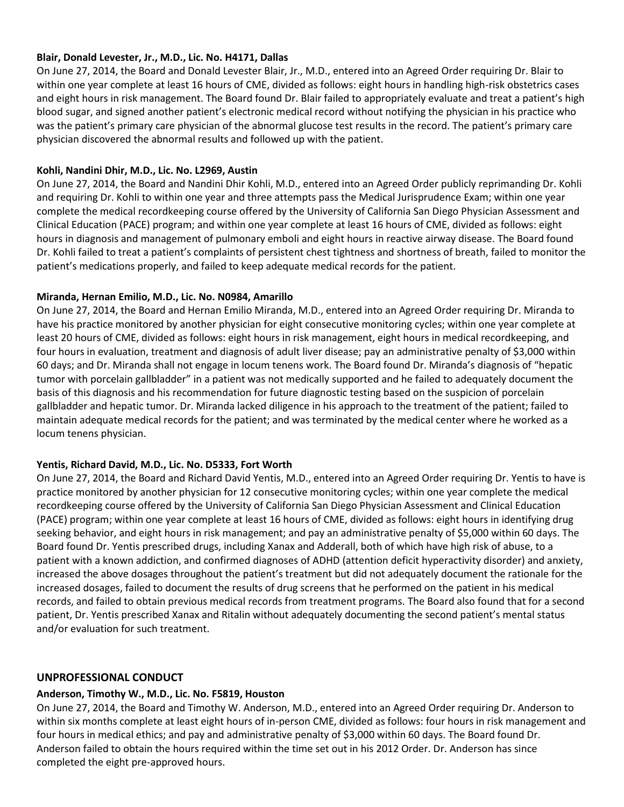## **Blair, Donald Levester, Jr., M.D., Lic. No. H4171, Dallas**

On June 27, 2014, the Board and Donald Levester Blair, Jr., M.D., entered into an Agreed Order requiring Dr. Blair to within one year complete at least 16 hours of CME, divided as follows: eight hours in handling high-risk obstetrics cases and eight hours in risk management. The Board found Dr. Blair failed to appropriately evaluate and treat a patient's high blood sugar, and signed another patient's electronic medical record without notifying the physician in his practice who was the patient's primary care physician of the abnormal glucose test results in the record. The patient's primary care physician discovered the abnormal results and followed up with the patient.

# **Kohli, Nandini Dhir, M.D., Lic. No. L2969, Austin**

On June 27, 2014, the Board and Nandini Dhir Kohli, M.D., entered into an Agreed Order publicly reprimanding Dr. Kohli and requiring Dr. Kohli to within one year and three attempts pass the Medical Jurisprudence Exam; within one year complete the medical recordkeeping course offered by the University of California San Diego Physician Assessment and Clinical Education (PACE) program; and within one year complete at least 16 hours of CME, divided as follows: eight hours in diagnosis and management of pulmonary emboli and eight hours in reactive airway disease. The Board found Dr. Kohli failed to treat a patient's complaints of persistent chest tightness and shortness of breath, failed to monitor the patient's medications properly, and failed to keep adequate medical records for the patient.

## **Miranda, Hernan Emilio, M.D., Lic. No. N0984, Amarillo**

On June 27, 2014, the Board and Hernan Emilio Miranda, M.D., entered into an Agreed Order requiring Dr. Miranda to have his practice monitored by another physician for eight consecutive monitoring cycles; within one year complete at least 20 hours of CME, divided as follows: eight hours in risk management, eight hours in medical recordkeeping, and four hours in evaluation, treatment and diagnosis of adult liver disease; pay an administrative penalty of \$3,000 within 60 days; and Dr. Miranda shall not engage in locum tenens work. The Board found Dr. Miranda's diagnosis of "hepatic tumor with porcelain gallbladder" in a patient was not medically supported and he failed to adequately document the basis of this diagnosis and his recommendation for future diagnostic testing based on the suspicion of porcelain gallbladder and hepatic tumor. Dr. Miranda lacked diligence in his approach to the treatment of the patient; failed to maintain adequate medical records for the patient; and was terminated by the medical center where he worked as a locum tenens physician.

## **Yentis, Richard David, M.D., Lic. No. D5333, Fort Worth**

On June 27, 2014, the Board and Richard David Yentis, M.D., entered into an Agreed Order requiring Dr. Yentis to have is practice monitored by another physician for 12 consecutive monitoring cycles; within one year complete the medical recordkeeping course offered by the University of California San Diego Physician Assessment and Clinical Education (PACE) program; within one year complete at least 16 hours of CME, divided as follows: eight hours in identifying drug seeking behavior, and eight hours in risk management; and pay an administrative penalty of \$5,000 within 60 days. The Board found Dr. Yentis prescribed drugs, including Xanax and Adderall, both of which have high risk of abuse, to a patient with a known addiction, and confirmed diagnoses of ADHD (attention deficit hyperactivity disorder) and anxiety, increased the above dosages throughout the patient's treatment but did not adequately document the rationale for the increased dosages, failed to document the results of drug screens that he performed on the patient in his medical records, and failed to obtain previous medical records from treatment programs. The Board also found that for a second patient, Dr. Yentis prescribed Xanax and Ritalin without adequately documenting the second patient's mental status and/or evaluation for such treatment.

## **UNPROFESSIONAL CONDUCT**

## **Anderson, Timothy W., M.D., Lic. No. F5819, Houston**

On June 27, 2014, the Board and Timothy W. Anderson, M.D., entered into an Agreed Order requiring Dr. Anderson to within six months complete at least eight hours of in-person CME, divided as follows: four hours in risk management and four hours in medical ethics; and pay and administrative penalty of \$3,000 within 60 days. The Board found Dr. Anderson failed to obtain the hours required within the time set out in his 2012 Order. Dr. Anderson has since completed the eight pre-approved hours.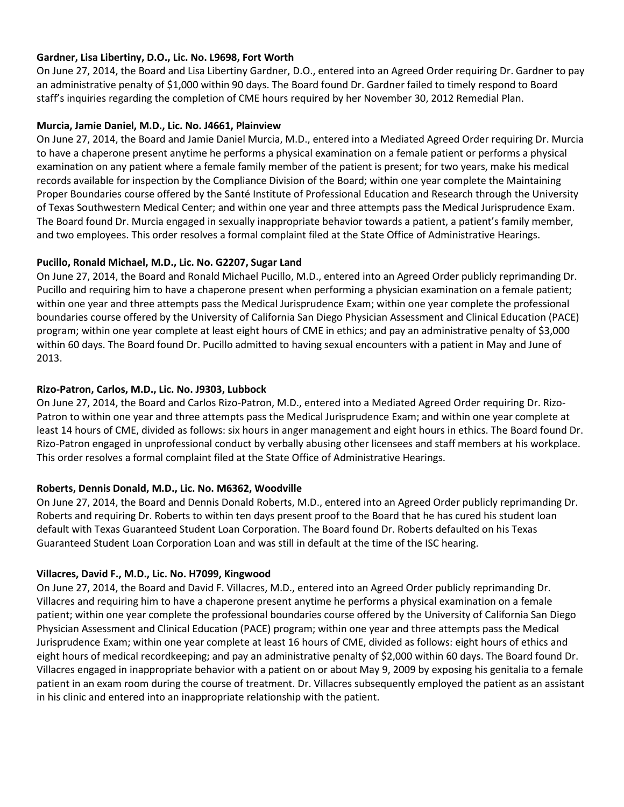# **Gardner, Lisa Libertiny, D.O., Lic. No. L9698, Fort Worth**

On June 27, 2014, the Board and Lisa Libertiny Gardner, D.O., entered into an Agreed Order requiring Dr. Gardner to pay an administrative penalty of \$1,000 within 90 days. The Board found Dr. Gardner failed to timely respond to Board staff's inquiries regarding the completion of CME hours required by her November 30, 2012 Remedial Plan.

# **Murcia, Jamie Daniel, M.D., Lic. No. J4661, Plainview**

On June 27, 2014, the Board and Jamie Daniel Murcia, M.D., entered into a Mediated Agreed Order requiring Dr. Murcia to have a chaperone present anytime he performs a physical examination on a female patient or performs a physical examination on any patient where a female family member of the patient is present; for two years, make his medical records available for inspection by the Compliance Division of the Board; within one year complete the Maintaining Proper Boundaries course offered by the Santé Institute of Professional Education and Research through the University of Texas Southwestern Medical Center; and within one year and three attempts pass the Medical Jurisprudence Exam. The Board found Dr. Murcia engaged in sexually inappropriate behavior towards a patient, a patient's family member, and two employees. This order resolves a formal complaint filed at the State Office of Administrative Hearings.

# **Pucillo, Ronald Michael, M.D., Lic. No. G2207, Sugar Land**

On June 27, 2014, the Board and Ronald Michael Pucillo, M.D., entered into an Agreed Order publicly reprimanding Dr. Pucillo and requiring him to have a chaperone present when performing a physician examination on a female patient; within one year and three attempts pass the Medical Jurisprudence Exam; within one year complete the professional boundaries course offered by the University of California San Diego Physician Assessment and Clinical Education (PACE) program; within one year complete at least eight hours of CME in ethics; and pay an administrative penalty of \$3,000 within 60 days. The Board found Dr. Pucillo admitted to having sexual encounters with a patient in May and June of 2013.

# **Rizo-Patron, Carlos, M.D., Lic. No. J9303, Lubbock**

On June 27, 2014, the Board and Carlos Rizo-Patron, M.D., entered into a Mediated Agreed Order requiring Dr. Rizo-Patron to within one year and three attempts pass the Medical Jurisprudence Exam; and within one year complete at least 14 hours of CME, divided as follows: six hours in anger management and eight hours in ethics. The Board found Dr. Rizo-Patron engaged in unprofessional conduct by verbally abusing other licensees and staff members at his workplace. This order resolves a formal complaint filed at the State Office of Administrative Hearings.

# **Roberts, Dennis Donald, M.D., Lic. No. M6362, Woodville**

On June 27, 2014, the Board and Dennis Donald Roberts, M.D., entered into an Agreed Order publicly reprimanding Dr. Roberts and requiring Dr. Roberts to within ten days present proof to the Board that he has cured his student loan default with Texas Guaranteed Student Loan Corporation. The Board found Dr. Roberts defaulted on his Texas Guaranteed Student Loan Corporation Loan and was still in default at the time of the ISC hearing.

# **Villacres, David F., M.D., Lic. No. H7099, Kingwood**

On June 27, 2014, the Board and David F. Villacres, M.D., entered into an Agreed Order publicly reprimanding Dr. Villacres and requiring him to have a chaperone present anytime he performs a physical examination on a female patient; within one year complete the professional boundaries course offered by the University of California San Diego Physician Assessment and Clinical Education (PACE) program; within one year and three attempts pass the Medical Jurisprudence Exam; within one year complete at least 16 hours of CME, divided as follows: eight hours of ethics and eight hours of medical recordkeeping; and pay an administrative penalty of \$2,000 within 60 days. The Board found Dr. Villacres engaged in inappropriate behavior with a patient on or about May 9, 2009 by exposing his genitalia to a female patient in an exam room during the course of treatment. Dr. Villacres subsequently employed the patient as an assistant in his clinic and entered into an inappropriate relationship with the patient.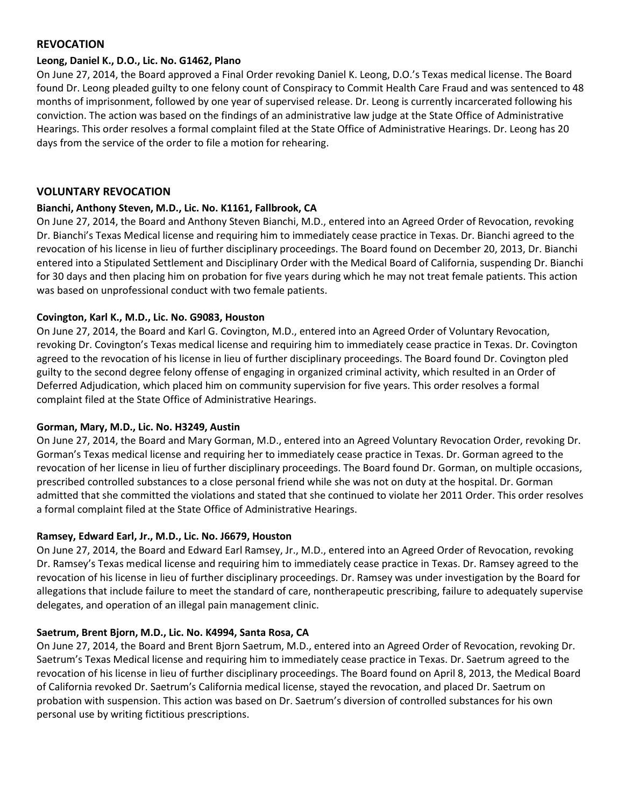# **REVOCATION**

#### **Leong, Daniel K., D.O., Lic. No. G1462, Plano**

On June 27, 2014, the Board approved a Final Order revoking Daniel K. Leong, D.O.'s Texas medical license. The Board found Dr. Leong pleaded guilty to one felony count of Conspiracy to Commit Health Care Fraud and was sentenced to 48 months of imprisonment, followed by one year of supervised release. Dr. Leong is currently incarcerated following his conviction. The action was based on the findings of an administrative law judge at the State Office of Administrative Hearings. This order resolves a formal complaint filed at the State Office of Administrative Hearings. Dr. Leong has 20 days from the service of the order to file a motion for rehearing.

## **VOLUNTARY REVOCATION**

# **Bianchi, Anthony Steven, M.D., Lic. No. K1161, Fallbrook, CA**

On June 27, 2014, the Board and Anthony Steven Bianchi, M.D., entered into an Agreed Order of Revocation, revoking Dr. Bianchi's Texas Medical license and requiring him to immediately cease practice in Texas. Dr. Bianchi agreed to the revocation of his license in lieu of further disciplinary proceedings. The Board found on December 20, 2013, Dr. Bianchi entered into a Stipulated Settlement and Disciplinary Order with the Medical Board of California, suspending Dr. Bianchi for 30 days and then placing him on probation for five years during which he may not treat female patients. This action was based on unprofessional conduct with two female patients.

# **Covington, Karl K., M.D., Lic. No. G9083, Houston**

On June 27, 2014, the Board and Karl G. Covington, M.D., entered into an Agreed Order of Voluntary Revocation, revoking Dr. Covington's Texas medical license and requiring him to immediately cease practice in Texas. Dr. Covington agreed to the revocation of his license in lieu of further disciplinary proceedings. The Board found Dr. Covington pled guilty to the second degree felony offense of engaging in organized criminal activity, which resulted in an Order of Deferred Adjudication, which placed him on community supervision for five years. This order resolves a formal complaint filed at the State Office of Administrative Hearings.

## **Gorman, Mary, M.D., Lic. No. H3249, Austin**

On June 27, 2014, the Board and Mary Gorman, M.D., entered into an Agreed Voluntary Revocation Order, revoking Dr. Gorman's Texas medical license and requiring her to immediately cease practice in Texas. Dr. Gorman agreed to the revocation of her license in lieu of further disciplinary proceedings. The Board found Dr. Gorman, on multiple occasions, prescribed controlled substances to a close personal friend while she was not on duty at the hospital. Dr. Gorman admitted that she committed the violations and stated that she continued to violate her 2011 Order. This order resolves a formal complaint filed at the State Office of Administrative Hearings.

## **Ramsey, Edward Earl, Jr., M.D., Lic. No. J6679, Houston**

On June 27, 2014, the Board and Edward Earl Ramsey, Jr., M.D., entered into an Agreed Order of Revocation, revoking Dr. Ramsey's Texas medical license and requiring him to immediately cease practice in Texas. Dr. Ramsey agreed to the revocation of his license in lieu of further disciplinary proceedings. Dr. Ramsey was under investigation by the Board for allegations that include failure to meet the standard of care, nontherapeutic prescribing, failure to adequately supervise delegates, and operation of an illegal pain management clinic.

## **Saetrum, Brent Bjorn, M.D., Lic. No. K4994, Santa Rosa, CA**

On June 27, 2014, the Board and Brent Bjorn Saetrum, M.D., entered into an Agreed Order of Revocation, revoking Dr. Saetrum's Texas Medical license and requiring him to immediately cease practice in Texas. Dr. Saetrum agreed to the revocation of his license in lieu of further disciplinary proceedings. The Board found on April 8, 2013, the Medical Board of California revoked Dr. Saetrum's California medical license, stayed the revocation, and placed Dr. Saetrum on probation with suspension. This action was based on Dr. Saetrum's diversion of controlled substances for his own personal use by writing fictitious prescriptions.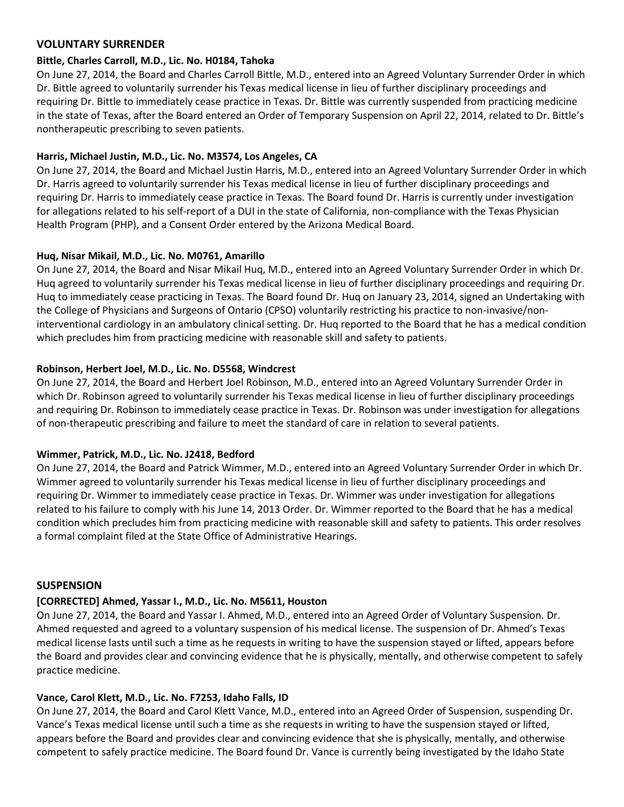# **VOLUNTARY SURRENDER**

#### **Bittle, Charles Carroll, M.D., Lic. No. H0184, Tahoka**

On June 27, 2014, the Board and Charles Carroll Bittle, M.D., entered into an Agreed Voluntary Surrender Order in which Dr. Bittle agreed to voluntarily surrender his Texas medical license in lieu of further disciplinary proceedings and requiring Dr. Bittle to immediately cease practice in Texas. Dr. Bittle was currently suspended from practicing medicine in the state of Texas, after the Board entered an Order of Temporary Suspension on April 22, 2014, related to Dr. Bittle's nontherapeutic prescribing to seven patients.

# **Harris, Michael Justin, M.D., Lic. No. M3574, Los Angeles, CA**

On June 27, 2014, the Board and Michael Justin Harris, M.D., entered into an Agreed Voluntary Surrender Order in which Dr. Harris agreed to voluntarily surrender his Texas medical license in lieu of further disciplinary proceedings and requiring Dr. Harris to immediately cease practice in Texas. The Board found Dr. Harris is currently under investigation for allegations related to his self-report of a DUI in the state of California, non-compliance with the Texas Physician Health Program (PHP), and a Consent Order entered by the Arizona Medical Board.

# **Huq, Nisar Mikail, M.D., Lic. No. M0761, Amarillo**

On June 27, 2014, the Board and Nisar Mikail Huq, M.D., entered into an Agreed Voluntary Surrender Order in which Dr. Huq agreed to voluntarily surrender his Texas medical license in lieu of further disciplinary proceedings and requiring Dr. Huq to immediately cease practicing in Texas. The Board found Dr. Huq on January 23, 2014, signed an Undertaking with the College of Physicians and Surgeons of Ontario (CPSO) voluntarily restricting his practice to non-invasive/noninterventional cardiology in an ambulatory clinical setting. Dr. Huq reported to the Board that he has a medical condition which precludes him from practicing medicine with reasonable skill and safety to patients.

# **Robinson, Herbert Joel, M.D., Lic. No. D5568, Windcrest**

On June 27, 2014, the Board and Herbert Joel Robinson, M.D., entered into an Agreed Voluntary Surrender Order in which Dr. Robinson agreed to voluntarily surrender his Texas medical license in lieu of further disciplinary proceedings and requiring Dr. Robinson to immediately cease practice in Texas. Dr. Robinson was under investigation for allegations of non-therapeutic prescribing and failure to meet the standard of care in relation to several patients.

## **Wimmer, Patrick, M.D., Lic. No. J2418, Bedford**

On June 27, 2014, the Board and Patrick Wimmer, M.D., entered into an Agreed Voluntary Surrender Order in which Dr. Wimmer agreed to voluntarily surrender his Texas medical license in lieu of further disciplinary proceedings and requiring Dr. Wimmer to immediately cease practice in Texas. Dr. Wimmer was under investigation for allegations related to his failure to comply with his June 14, 2013 Order. Dr. Wimmer reported to the Board that he has a medical condition which precludes him from practicing medicine with reasonable skill and safety to patients. This order resolves a formal complaint filed at the State Office of Administrative Hearings.

## **SUSPENSION**

## **[CORRECTED] Ahmed, Yassar I., M.D., Lic. No. M5611, Houston**

On June 27, 2014, the Board and Yassar I. Ahmed, M.D., entered into an Agreed Order of Voluntary Suspension. Dr. Ahmed requested and agreed to a voluntary suspension of his medical license. The suspension of Dr. Ahmed's Texas medical license lasts until such a time as he requests in writing to have the suspension stayed or lifted, appears before the Board and provides clear and convincing evidence that he is physically, mentally, and otherwise competent to safely practice medicine.

## **Vance, Carol Klett, M.D., Lic. No. F7253, Idaho Falls, ID**

On June 27, 2014, the Board and Carol Klett Vance, M.D., entered into an Agreed Order of Suspension, suspending Dr. Vance's Texas medical license until such a time as she requests in writing to have the suspension stayed or lifted, appears before the Board and provides clear and convincing evidence that she is physically, mentally, and otherwise competent to safely practice medicine. The Board found Dr. Vance is currently being investigated by the Idaho State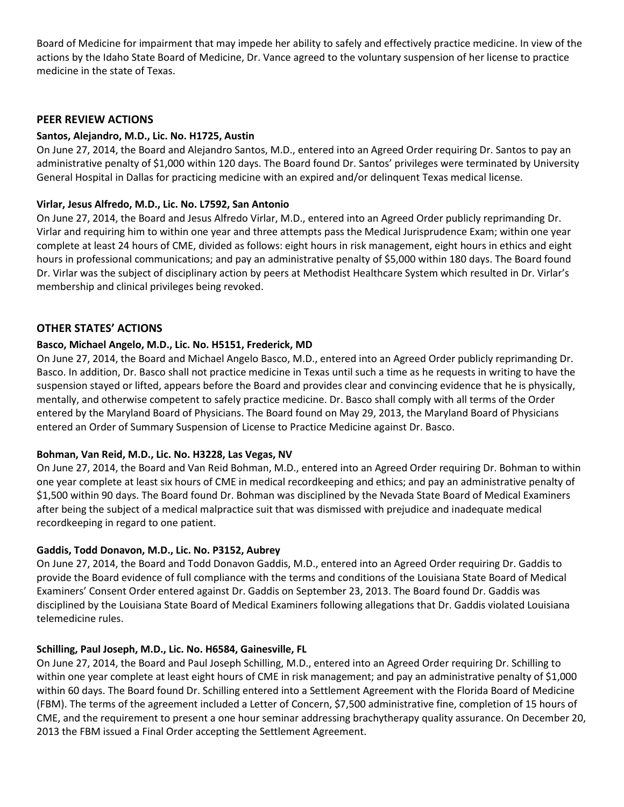Board of Medicine for impairment that may impede her ability to safely and effectively practice medicine. In view of the actions by the Idaho State Board of Medicine, Dr. Vance agreed to the voluntary suspension of her license to practice medicine in the state of Texas.

# **PEER REVIEW ACTIONS**

## **Santos, Alejandro, M.D., Lic. No. H1725, Austin**

On June 27, 2014, the Board and Alejandro Santos, M.D., entered into an Agreed Order requiring Dr. Santos to pay an administrative penalty of \$1,000 within 120 days. The Board found Dr. Santos' privileges were terminated by University General Hospital in Dallas for practicing medicine with an expired and/or delinquent Texas medical license.

# **Virlar, Jesus Alfredo, M.D., Lic. No. L7592, San Antonio**

On June 27, 2014, the Board and Jesus Alfredo Virlar, M.D., entered into an Agreed Order publicly reprimanding Dr. Virlar and requiring him to within one year and three attempts pass the Medical Jurisprudence Exam; within one year complete at least 24 hours of CME, divided as follows: eight hours in risk management, eight hours in ethics and eight hours in professional communications; and pay an administrative penalty of \$5,000 within 180 days. The Board found Dr. Virlar was the subject of disciplinary action by peers at Methodist Healthcare System which resulted in Dr. Virlar's membership and clinical privileges being revoked.

# **OTHER STATES' ACTIONS**

# **Basco, Michael Angelo, M.D., Lic. No. H5151, Frederick, MD**

On June 27, 2014, the Board and Michael Angelo Basco, M.D., entered into an Agreed Order publicly reprimanding Dr. Basco. In addition, Dr. Basco shall not practice medicine in Texas until such a time as he requests in writing to have the suspension stayed or lifted, appears before the Board and provides clear and convincing evidence that he is physically, mentally, and otherwise competent to safely practice medicine. Dr. Basco shall comply with all terms of the Order entered by the Maryland Board of Physicians. The Board found on May 29, 2013, the Maryland Board of Physicians entered an Order of Summary Suspension of License to Practice Medicine against Dr. Basco.

## **Bohman, Van Reid, M.D., Lic. No. H3228, Las Vegas, NV**

On June 27, 2014, the Board and Van Reid Bohman, M.D., entered into an Agreed Order requiring Dr. Bohman to within one year complete at least six hours of CME in medical recordkeeping and ethics; and pay an administrative penalty of \$1,500 within 90 days. The Board found Dr. Bohman was disciplined by the Nevada State Board of Medical Examiners after being the subject of a medical malpractice suit that was dismissed with prejudice and inadequate medical recordkeeping in regard to one patient.

## **Gaddis, Todd Donavon, M.D., Lic. No. P3152, Aubrey**

On June 27, 2014, the Board and Todd Donavon Gaddis, M.D., entered into an Agreed Order requiring Dr. Gaddis to provide the Board evidence of full compliance with the terms and conditions of the Louisiana State Board of Medical Examiners' Consent Order entered against Dr. Gaddis on September 23, 2013. The Board found Dr. Gaddis was disciplined by the Louisiana State Board of Medical Examiners following allegations that Dr. Gaddis violated Louisiana telemedicine rules.

## **Schilling, Paul Joseph, M.D., Lic. No. H6584, Gainesville, FL**

On June 27, 2014, the Board and Paul Joseph Schilling, M.D., entered into an Agreed Order requiring Dr. Schilling to within one year complete at least eight hours of CME in risk management; and pay an administrative penalty of \$1,000 within 60 days. The Board found Dr. Schilling entered into a Settlement Agreement with the Florida Board of Medicine (FBM). The terms of the agreement included a Letter of Concern, \$7,500 administrative fine, completion of 15 hours of CME, and the requirement to present a one hour seminar addressing brachytherapy quality assurance. On December 20, 2013 the FBM issued a Final Order accepting the Settlement Agreement.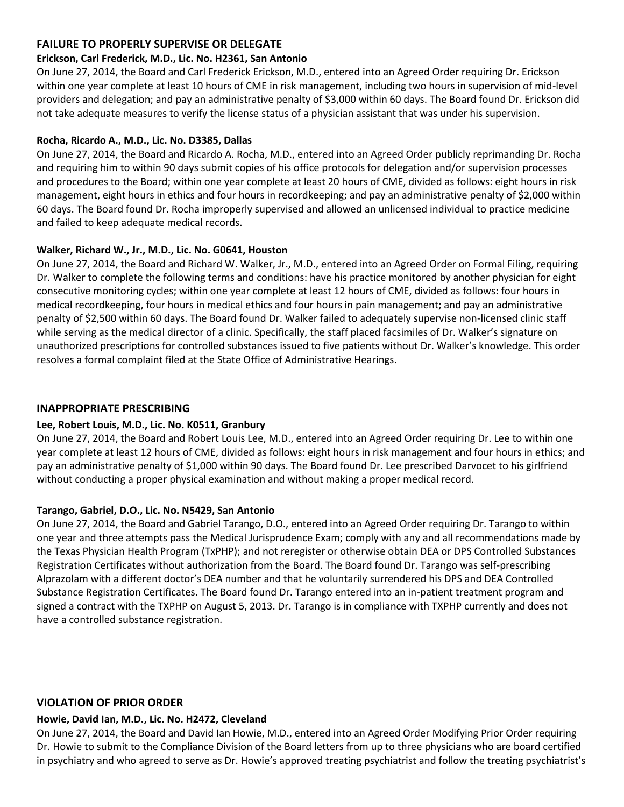# **FAILURE TO PROPERLY SUPERVISE OR DELEGATE**

## **Erickson, Carl Frederick, M.D., Lic. No. H2361, San Antonio**

On June 27, 2014, the Board and Carl Frederick Erickson, M.D., entered into an Agreed Order requiring Dr. Erickson within one year complete at least 10 hours of CME in risk management, including two hours in supervision of mid-level providers and delegation; and pay an administrative penalty of \$3,000 within 60 days. The Board found Dr. Erickson did not take adequate measures to verify the license status of a physician assistant that was under his supervision.

# **Rocha, Ricardo A., M.D., Lic. No. D3385, Dallas**

On June 27, 2014, the Board and Ricardo A. Rocha, M.D., entered into an Agreed Order publicly reprimanding Dr. Rocha and requiring him to within 90 days submit copies of his office protocols for delegation and/or supervision processes and procedures to the Board; within one year complete at least 20 hours of CME, divided as follows: eight hours in risk management, eight hours in ethics and four hours in recordkeeping; and pay an administrative penalty of \$2,000 within 60 days. The Board found Dr. Rocha improperly supervised and allowed an unlicensed individual to practice medicine and failed to keep adequate medical records.

# **Walker, Richard W., Jr., M.D., Lic. No. G0641, Houston**

On June 27, 2014, the Board and Richard W. Walker, Jr., M.D., entered into an Agreed Order on Formal Filing, requiring Dr. Walker to complete the following terms and conditions: have his practice monitored by another physician for eight consecutive monitoring cycles; within one year complete at least 12 hours of CME, divided as follows: four hours in medical recordkeeping, four hours in medical ethics and four hours in pain management; and pay an administrative penalty of \$2,500 within 60 days. The Board found Dr. Walker failed to adequately supervise non-licensed clinic staff while serving as the medical director of a clinic. Specifically, the staff placed facsimiles of Dr. Walker's signature on unauthorized prescriptions for controlled substances issued to five patients without Dr. Walker's knowledge. This order resolves a formal complaint filed at the State Office of Administrative Hearings.

# **INAPPROPRIATE PRESCRIBING**

## **Lee, Robert Louis, M.D., Lic. No. K0511, Granbury**

On June 27, 2014, the Board and Robert Louis Lee, M.D., entered into an Agreed Order requiring Dr. Lee to within one year complete at least 12 hours of CME, divided as follows: eight hours in risk management and four hours in ethics; and pay an administrative penalty of \$1,000 within 90 days. The Board found Dr. Lee prescribed Darvocet to his girlfriend without conducting a proper physical examination and without making a proper medical record.

# **Tarango, Gabriel, D.O., Lic. No. N5429, San Antonio**

On June 27, 2014, the Board and Gabriel Tarango, D.O., entered into an Agreed Order requiring Dr. Tarango to within one year and three attempts pass the Medical Jurisprudence Exam; comply with any and all recommendations made by the Texas Physician Health Program (TxPHP); and not reregister or otherwise obtain DEA or DPS Controlled Substances Registration Certificates without authorization from the Board. The Board found Dr. Tarango was self-prescribing Alprazolam with a different doctor's DEA number and that he voluntarily surrendered his DPS and DEA Controlled Substance Registration Certificates. The Board found Dr. Tarango entered into an in-patient treatment program and signed a contract with the TXPHP on August 5, 2013. Dr. Tarango is in compliance with TXPHP currently and does not have a controlled substance registration.

## **VIOLATION OF PRIOR ORDER**

## **Howie, David Ian, M.D., Lic. No. H2472, Cleveland**

On June 27, 2014, the Board and David Ian Howie, M.D., entered into an Agreed Order Modifying Prior Order requiring Dr. Howie to submit to the Compliance Division of the Board letters from up to three physicians who are board certified in psychiatry and who agreed to serve as Dr. Howie's approved treating psychiatrist and follow the treating psychiatrist's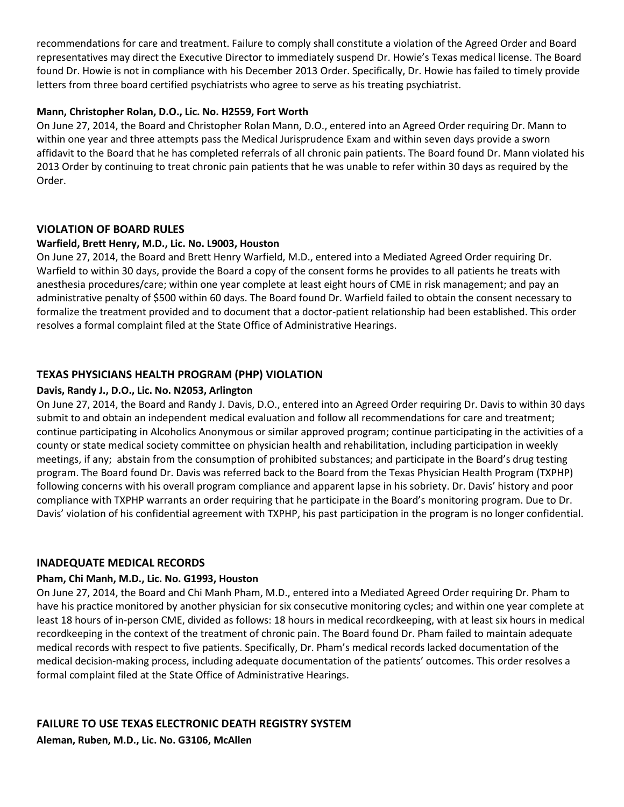recommendations for care and treatment. Failure to comply shall constitute a violation of the Agreed Order and Board representatives may direct the Executive Director to immediately suspend Dr. Howie's Texas medical license. The Board found Dr. Howie is not in compliance with his December 2013 Order. Specifically, Dr. Howie has failed to timely provide letters from three board certified psychiatrists who agree to serve as his treating psychiatrist.

# **Mann, Christopher Rolan, D.O., Lic. No. H2559, Fort Worth**

On June 27, 2014, the Board and Christopher Rolan Mann, D.O., entered into an Agreed Order requiring Dr. Mann to within one year and three attempts pass the Medical Jurisprudence Exam and within seven days provide a sworn affidavit to the Board that he has completed referrals of all chronic pain patients. The Board found Dr. Mann violated his 2013 Order by continuing to treat chronic pain patients that he was unable to refer within 30 days as required by the Order.

# **VIOLATION OF BOARD RULES**

# **Warfield, Brett Henry, M.D., Lic. No. L9003, Houston**

On June 27, 2014, the Board and Brett Henry Warfield, M.D., entered into a Mediated Agreed Order requiring Dr. Warfield to within 30 days, provide the Board a copy of the consent forms he provides to all patients he treats with anesthesia procedures/care; within one year complete at least eight hours of CME in risk management; and pay an administrative penalty of \$500 within 60 days. The Board found Dr. Warfield failed to obtain the consent necessary to formalize the treatment provided and to document that a doctor-patient relationship had been established. This order resolves a formal complaint filed at the State Office of Administrative Hearings.

# **TEXAS PHYSICIANS HEALTH PROGRAM (PHP) VIOLATION**

# **Davis, Randy J., D.O., Lic. No. N2053, Arlington**

On June 27, 2014, the Board and Randy J. Davis, D.O., entered into an Agreed Order requiring Dr. Davis to within 30 days submit to and obtain an independent medical evaluation and follow all recommendations for care and treatment; continue participating in Alcoholics Anonymous or similar approved program; continue participating in the activities of a county or state medical society committee on physician health and rehabilitation, including participation in weekly meetings, if any; abstain from the consumption of prohibited substances; and participate in the Board's drug testing program. The Board found Dr. Davis was referred back to the Board from the Texas Physician Health Program (TXPHP) following concerns with his overall program compliance and apparent lapse in his sobriety. Dr. Davis' history and poor compliance with TXPHP warrants an order requiring that he participate in the Board's monitoring program. Due to Dr. Davis' violation of his confidential agreement with TXPHP, his past participation in the program is no longer confidential.

## **INADEQUATE MEDICAL RECORDS**

## **Pham, Chi Manh, M.D., Lic. No. G1993, Houston**

On June 27, 2014, the Board and Chi Manh Pham, M.D., entered into a Mediated Agreed Order requiring Dr. Pham to have his practice monitored by another physician for six consecutive monitoring cycles; and within one year complete at least 18 hours of in-person CME, divided as follows: 18 hours in medical recordkeeping, with at least six hours in medical recordkeeping in the context of the treatment of chronic pain. The Board found Dr. Pham failed to maintain adequate medical records with respect to five patients. Specifically, Dr. Pham's medical records lacked documentation of the medical decision-making process, including adequate documentation of the patients' outcomes. This order resolves a formal complaint filed at the State Office of Administrative Hearings.

# **FAILURE TO USE TEXAS ELECTRONIC DEATH REGISTRY SYSTEM**

**Aleman, Ruben, M.D., Lic. No. G3106, McAllen**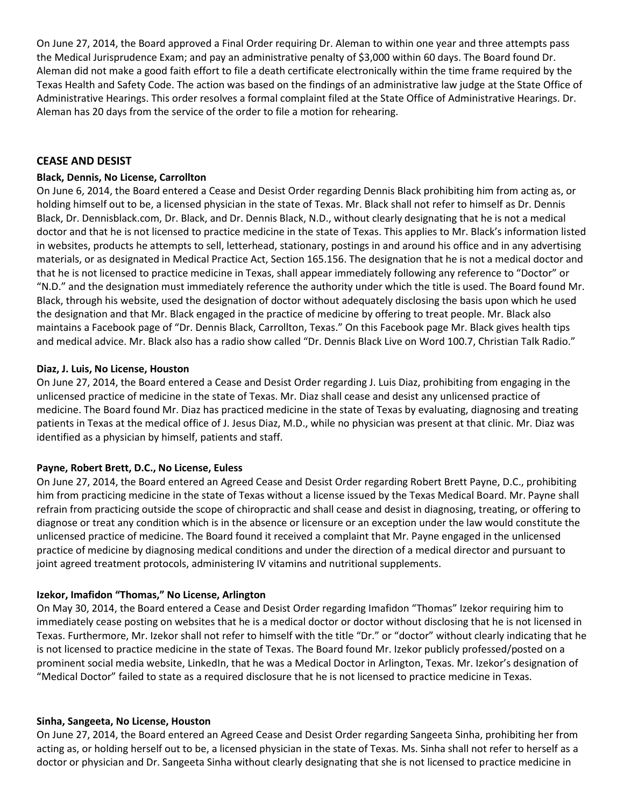On June 27, 2014, the Board approved a Final Order requiring Dr. Aleman to within one year and three attempts pass the Medical Jurisprudence Exam; and pay an administrative penalty of \$3,000 within 60 days. The Board found Dr. Aleman did not make a good faith effort to file a death certificate electronically within the time frame required by the Texas Health and Safety Code. The action was based on the findings of an administrative law judge at the State Office of Administrative Hearings. This order resolves a formal complaint filed at the State Office of Administrative Hearings. Dr. Aleman has 20 days from the service of the order to file a motion for rehearing.

## **CEASE AND DESIST**

#### **Black, Dennis, No License, Carrollton**

On June 6, 2014, the Board entered a Cease and Desist Order regarding Dennis Black prohibiting him from acting as, or holding himself out to be, a licensed physician in the state of Texas. Mr. Black shall not refer to himself as Dr. Dennis Black, Dr. Dennisblack.com, Dr. Black, and Dr. Dennis Black, N.D., without clearly designating that he is not a medical doctor and that he is not licensed to practice medicine in the state of Texas. This applies to Mr. Black's information listed in websites, products he attempts to sell, letterhead, stationary, postings in and around his office and in any advertising materials, or as designated in Medical Practice Act, Section 165.156. The designation that he is not a medical doctor and that he is not licensed to practice medicine in Texas, shall appear immediately following any reference to "Doctor" or "N.D." and the designation must immediately reference the authority under which the title is used. The Board found Mr. Black, through his website, used the designation of doctor without adequately disclosing the basis upon which he used the designation and that Mr. Black engaged in the practice of medicine by offering to treat people. Mr. Black also maintains a Facebook page of "Dr. Dennis Black, Carrollton, Texas." On this Facebook page Mr. Black gives health tips and medical advice. Mr. Black also has a radio show called "Dr. Dennis Black Live on Word 100.7, Christian Talk Radio."

#### **Diaz, J. Luis, No License, Houston**

On June 27, 2014, the Board entered a Cease and Desist Order regarding J. Luis Diaz, prohibiting from engaging in the unlicensed practice of medicine in the state of Texas. Mr. Diaz shall cease and desist any unlicensed practice of medicine. The Board found Mr. Diaz has practiced medicine in the state of Texas by evaluating, diagnosing and treating patients in Texas at the medical office of J. Jesus Diaz, M.D., while no physician was present at that clinic. Mr. Diaz was identified as a physician by himself, patients and staff.

#### **Payne, Robert Brett, D.C., No License, Euless**

On June 27, 2014, the Board entered an Agreed Cease and Desist Order regarding Robert Brett Payne, D.C., prohibiting him from practicing medicine in the state of Texas without a license issued by the Texas Medical Board. Mr. Payne shall refrain from practicing outside the scope of chiropractic and shall cease and desist in diagnosing, treating, or offering to diagnose or treat any condition which is in the absence or licensure or an exception under the law would constitute the unlicensed practice of medicine. The Board found it received a complaint that Mr. Payne engaged in the unlicensed practice of medicine by diagnosing medical conditions and under the direction of a medical director and pursuant to joint agreed treatment protocols, administering IV vitamins and nutritional supplements.

#### **Izekor, Imafidon "Thomas," No License, Arlington**

On May 30, 2014, the Board entered a Cease and Desist Order regarding Imafidon "Thomas" Izekor requiring him to immediately cease posting on websites that he is a medical doctor or doctor without disclosing that he is not licensed in Texas. Furthermore, Mr. Izekor shall not refer to himself with the title "Dr." or "doctor" without clearly indicating that he is not licensed to practice medicine in the state of Texas. The Board found Mr. Izekor publicly professed/posted on a prominent social media website, LinkedIn, that he was a Medical Doctor in Arlington, Texas. Mr. Izekor's designation of "Medical Doctor" failed to state as a required disclosure that he is not licensed to practice medicine in Texas.

#### **Sinha, Sangeeta, No License, Houston**

On June 27, 2014, the Board entered an Agreed Cease and Desist Order regarding Sangeeta Sinha, prohibiting her from acting as, or holding herself out to be, a licensed physician in the state of Texas. Ms. Sinha shall not refer to herself as a doctor or physician and Dr. Sangeeta Sinha without clearly designating that she is not licensed to practice medicine in